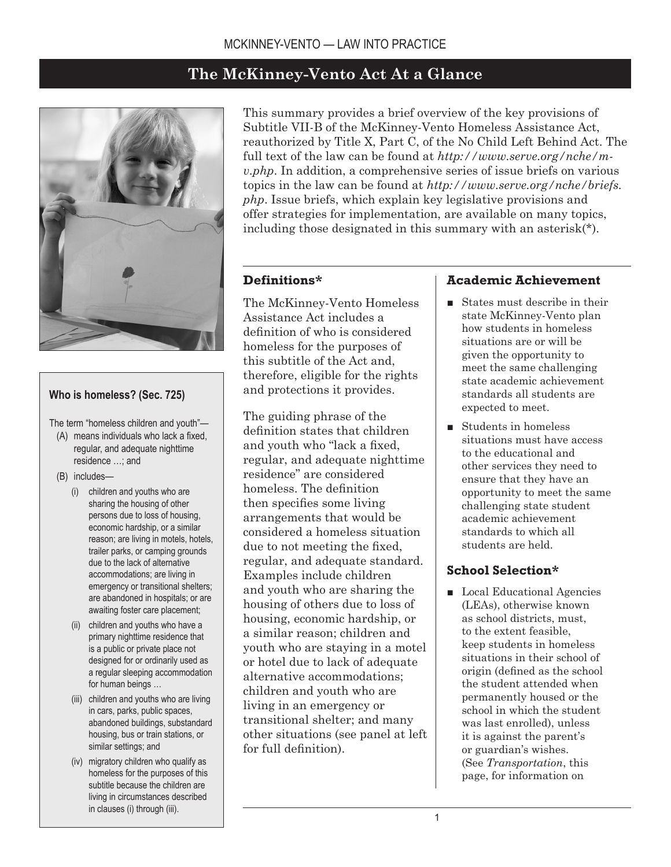# **The McKinney-Vento Act At a Glance**



#### **Who is homeless? (Sec. 725)**

The term "homeless children and youth"—

- (A) means individuals who lack a fixed, regular, and adequate nighttime residence …; and
- (B) includes—
	- (i) children and youths who are sharing the housing of other persons due to loss of housing, economic hardship, or a similar reason; are living in motels, hotels, trailer parks, or camping grounds due to the lack of alternative accommodations; are living in emergency or transitional shelters; are abandoned in hospitals; or are awaiting foster care placement;
	- (ii) children and youths who have a primary nighttime residence that is a public or private place not designed for or ordinarily used as a regular sleeping accommodation for human beings …
	- (iii) children and youths who are living in cars, parks, public spaces, abandoned buildings, substandard housing, bus or train stations, or similar settings; and
	- (iv) migratory children who qualify as homeless for the purposes of this subtitle because the children are living in circumstances described in clauses (i) through (iii).

This summary provides a brief overview of the key provisions of Subtitle VII-B of the McKinney-Vento Homeless Assistance Act, reauthorized by Title X, Part C, of the No Child Left Behind Act. The full text of the law can be found at *http://www.serve.org/nche/mv.php*. In addition, a comprehensive series of issue briefs on various topics in the law can be found at *http://www.serve.org/nche/briefs. php*. Issue briefs, which explain key legislative provisions and offer strategies for implementation, are available on many topics, including those designated in this summary with an asterisk(\*).

#### **Definitions\***

The McKinney-Vento Homeless Assistance Act includes a definition of who is considered homeless for the purposes of this subtitle of the Act and, therefore, eligible for the rights and protections it provides.

The guiding phrase of the definition states that children and youth who "lack a fixed, regular, and adequate nighttime residence" are considered homeless. The definition then specifies some living arrangements that would be considered a homeless situation due to not meeting the fixed, regular, and adequate standard. Examples include children and youth who are sharing the housing of others due to loss of housing, economic hardship, or a similar reason; children and youth who are staying in a motel or hotel due to lack of adequate alternative accommodations; children and youth who are living in an emergency or transitional shelter; and many other situations (see panel at left for full definition).

#### **Academic Achievement**

- States must describe in their state McKinney-Vento plan how students in homeless situations are or will be given the opportunity to meet the same challenging state academic achievement standards all students are expected to meet.
- Students in homeless situations must have access to the educational and other services they need to ensure that they have an opportunity to meet the same challenging state student academic achievement standards to which all students are held.

### **School Selection\***

■ Local Educational Agencies (LEAs), otherwise known as school districts, must, to the extent feasible, keep students in homeless situations in their school of origin (defined as the school the student attended when permanently housed or the school in which the student was last enrolled), unless it is against the parent's or guardian's wishes. (See *Transportation*, this page, for information on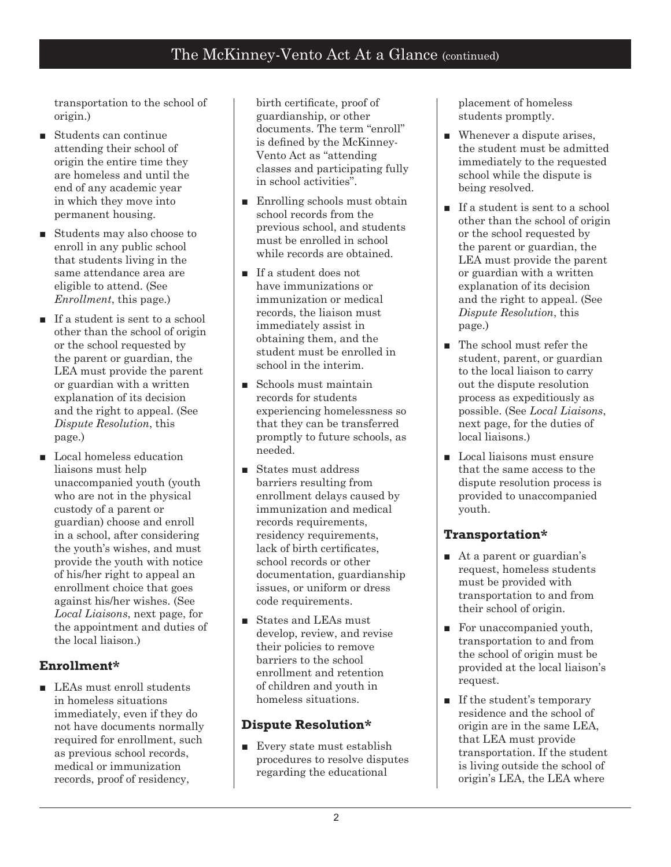transportation to the school of origin.)

- Students can continue attending their school of origin the entire time they are homeless and until the end of any academic year in which they move into permanent housing.
- Students may also choose to enroll in any public school that students living in the same attendance area are eligible to attend. (See *Enrollment*, this page.)
- If a student is sent to a school other than the school of origin or the school requested by the parent or guardian, the LEA must provide the parent or guardian with a written explanation of its decision and the right to appeal. (See *Dispute Resolution*, this page.)
- Local homeless education liaisons must help unaccompanied youth (youth who are not in the physical custody of a parent or guardian) choose and enroll in a school, after considering the youth's wishes, and must provide the youth with notice of his/her right to appeal an enrollment choice that goes against his/her wishes. (See *Local Liaisons*, next page, for the appointment and duties of the local liaison.)

## **Enrollment\***

■ LEAs must enroll students in homeless situations immediately, even if they do not have documents normally required for enrollment, such as previous school records, medical or immunization records, proof of residency,

birth certificate, proof of guardianship, or other documents. The term "enroll" is defined by the McKinney-Vento Act as "attending classes and participating fully in school activities".

- Enrolling schools must obtain school records from the previous school, and students must be enrolled in school while records are obtained.
- If a student does not have immunizations or immunization or medical records, the liaison must immediately assist in obtaining them, and the student must be enrolled in school in the interim.
- Schools must maintain records for students experiencing homelessness so that they can be transferred promptly to future schools, as needed.
- States must address barriers resulting from enrollment delays caused by immunization and medical records requirements, residency requirements, lack of birth certificates, school records or other documentation, guardianship issues, or uniform or dress code requirements.
- States and LEAs must develop, review, and revise their policies to remove barriers to the school enrollment and retention of children and youth in homeless situations.

### **Dispute Resolution\***

■ Every state must establish procedures to resolve disputes regarding the educational

placement of homeless students promptly.

- Whenever a dispute arises, the student must be admitted immediately to the requested school while the dispute is being resolved.
- If a student is sent to a school other than the school of origin or the school requested by the parent or guardian, the LEA must provide the parent or guardian with a written explanation of its decision and the right to appeal. (See *Dispute Resolution*, this page.)
- The school must refer the student, parent, or guardian to the local liaison to carry out the dispute resolution process as expeditiously as possible. (See *Local Liaisons*, next page, for the duties of local liaisons.)
- Local liaisons must ensure that the same access to the dispute resolution process is provided to unaccompanied youth.

### **Transportation\***

- At a parent or guardian's request, homeless students must be provided with transportation to and from their school of origin.
- For unaccompanied youth, transportation to and from the school of origin must be provided at the local liaison's request.
- If the student's temporary residence and the school of origin are in the same LEA, that LEA must provide transportation. If the student is living outside the school of origin's LEA, the LEA where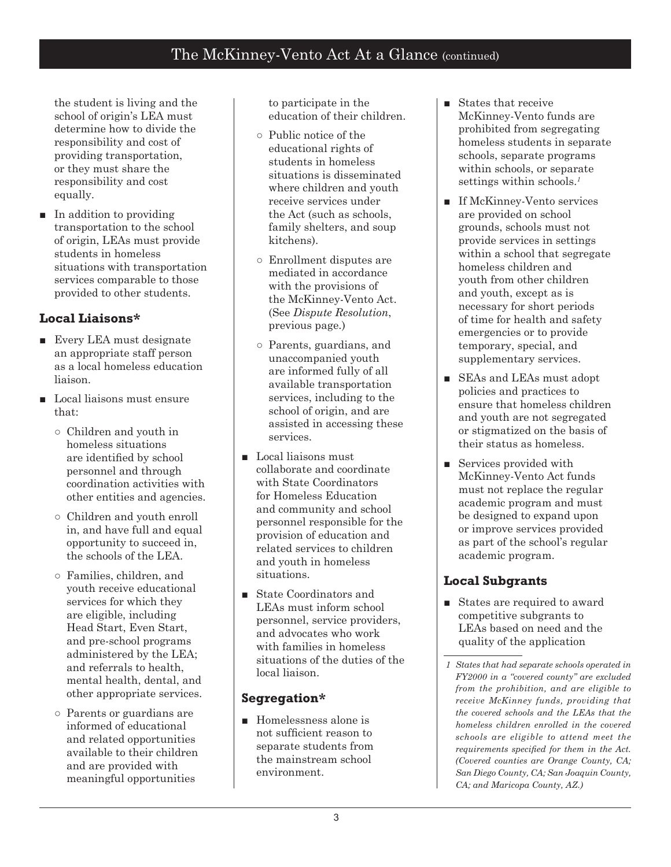the student is living and the school of origin's LEA must determine how to divide the responsibility and cost of providing transportation, or they must share the responsibility and cost equally.

■ In addition to providing transportation to the school of origin, LEAs must provide students in homeless situations with transportation services comparable to those provided to other students.

# **Local Liaisons\***

- Every LEA must designate an appropriate staff person as a local homeless education liaison.
- Local liaisons must ensure that:
	- Children and youth in homeless situations are identified by school personnel and through coordination activities with other entities and agencies.
	- Children and youth enroll in, and have full and equal opportunity to succeed in, the schools of the LEA.
	- Families, children, and youth receive educational services for which they are eligible, including Head Start, Even Start, and pre-school programs administered by the LEA; and referrals to health, mental health, dental, and other appropriate services.
	- Parents or guardians are informed of educational and related opportunities available to their children and are provided with meaningful opportunities

to participate in the education of their children.

- Public notice of the educational rights of students in homeless situations is disseminated where children and youth receive services under the Act (such as schools, family shelters, and soup kitchens).
- Enrollment disputes are mediated in accordance with the provisions of the McKinney-Vento Act. (See *Dispute Resolution*, previous page.)
- Parents, guardians, and unaccompanied youth are informed fully of all available transportation services, including to the school of origin, and are assisted in accessing these services.
- Local liaisons must collaborate and coordinate with State Coordinators for Homeless Education and community and school personnel responsible for the provision of education and related services to children and youth in homeless situations.
- State Coordinators and LEAs must inform school personnel, service providers, and advocates who work with families in homeless situations of the duties of the local liaison.

### **Segregation\***

■ Homelessness alone is not sufficient reason to separate students from the mainstream school environment.

- States that receive McKinney-Vento funds are prohibited from segregating homeless students in separate schools, separate programs within schools, or separate settings within schools.<sup>1</sup>
- If McKinney-Vento services are provided on school grounds, schools must not provide services in settings within a school that segregate homeless children and youth from other children and youth, except as is necessary for short periods of time for health and safety emergencies or to provide temporary, special, and supplementary services.
- SEAs and LEAs must adopt policies and practices to ensure that homeless children and youth are not segregated or stigmatized on the basis of their status as homeless.
- Services provided with McKinney-Vento Act funds must not replace the regular academic program and must be designed to expand upon or improve services provided as part of the school's regular academic program.

# **Local Subgrants**

■ States are required to award competitive subgrants to LEAs based on need and the quality of the application

*States that had separate schools operated in FY2000 in a "covered county" are excluded from the prohibition, and are eligible to receive McKinney funds, providing that the covered schools and the LEAs that the homeless children enrolled in the covered schools are eligible to attend meet the requirements specified for them in the Act. (Covered counties are Orange County, CA; San Diego County, CA; San Joaquin County, CA; and Maricopa County, AZ.)*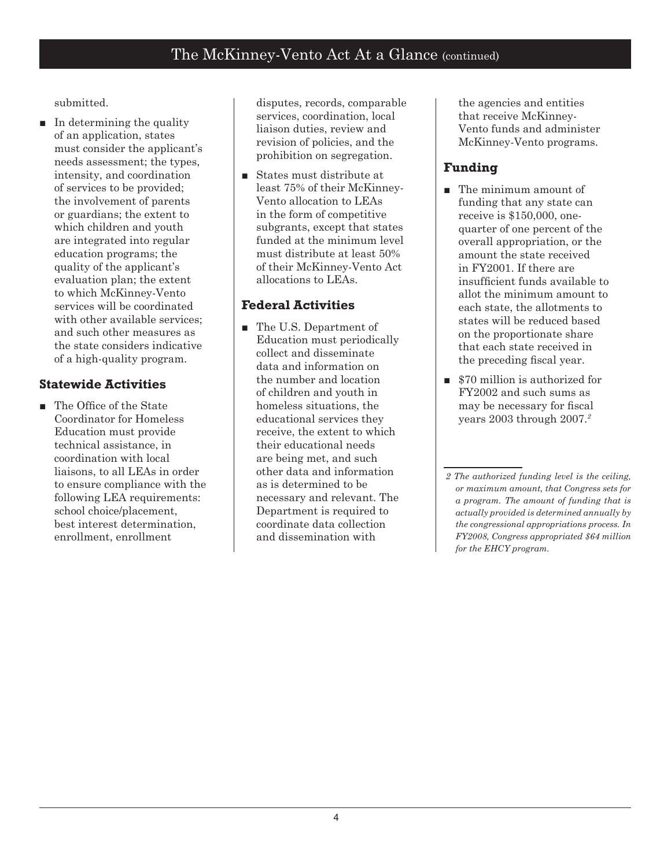submitted.

■ In determining the quality of an application, states must consider the applicant's needs assessment; the types, intensity, and coordination of services to be provided; the involvement of parents or guardians; the extent to which children and youth are integrated into regular education programs; the quality of the applicant's evaluation plan; the extent to which McKinney-Vento services will be coordinated with other available services; and such other measures as the state considers indicative of a high-quality program.

## **Statewide Activities**

The Office of the State Coordinator for Homeless Education must provide technical assistance, in coordination with local liaisons, to all LEAs in order to ensure compliance with the following LEA requirements: school choice/placement, best interest determination, enrollment, enrollment ■

disputes, records, comparable services, coordination, local liaison duties, review and revision of policies, and the prohibition on segregation.

■ States must distribute at least 75% of their McKinney-Vento allocation to LEAs in the form of competitive subgrants, except that states funded at the minimum level must distribute at least 50% of their McKinney-Vento Act allocations to LEAs.

# **Federal Activities**

■ The U.S. Department of Education must periodically collect and disseminate data and information on the number and location of children and youth in homeless situations, the educational services they receive, the extent to which their educational needs are being met, and such other data and information as is determined to be necessary and relevant. The Department is required to coordinate data collection and dissemination with

the agencies and entities that receive McKinney-Vento funds and administer McKinney-Vento programs.

# **Funding**

- The minimum amount of funding that any state can receive is \$150,000, onequarter of one percent of the overall appropriation, or the amount the state received in FY2001. If there are insufficient funds available to allot the minimum amount to each state, the allotments to states will be reduced based on the proportionate share that each state received in the preceding fiscal year.
- \$70 million is authorized for FY2002 and such sums as may be necessary for fiscal years 2003 through 2007.

*The authorized funding level is the ceiling, or maximum amount, that Congress sets for a program. The amount of funding that is actually provided is determined annually by the congressional appropriations process. In FY2008, Congress appropriated \$64 million for the EHCY program.*